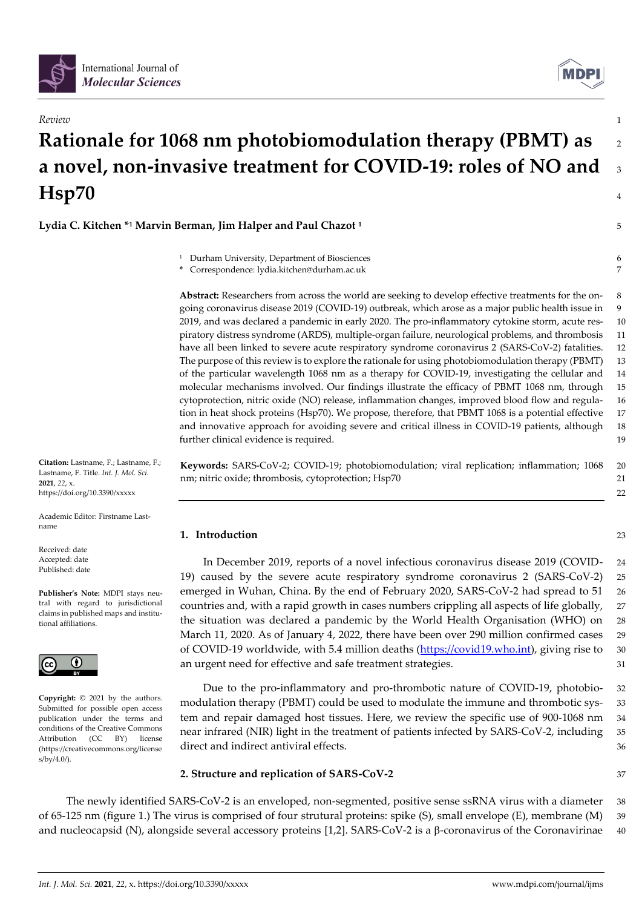



# *Review* 1 **Rationale for 1068 nm photobiomodulation therapy (PBMT) as** <sup>2</sup> **a novel, non-invasive treatment for COVID-19: roles of NO and** <sup>3</sup> **Hsp70** <sup>4</sup>

**Lydia C. Kitchen \* <sup>1</sup> Marvin Berman, Jim Halper and Paul Chazot <sup>1</sup>** 5

- 
- <sup>1</sup> Durham University, Department of Biosciences 6 **\*** Correspondence: lydia.kitchen@durham.ac.uk 7

**Abstract:** Researchers from across the world are seeking to develop effective treatments for the on- 8 going coronavirus disease 2019 (COVID-19) outbreak, which arose as a major public health issue in 9 2019, and was declared a pandemic in early 2020. The pro-inflammatory cytokine storm, acute res- 10 piratory distress syndrome (ARDS), multiple-organ failure, neurological problems, and thrombosis 11 have all been linked to severe acute respiratory syndrome coronavirus 2 (SARS-CoV-2) fatalities. 12 The purpose of this review is to explore the rationale for using photobiomodulation therapy (PBMT) 13 of the particular wavelength 1068 nm as a therapy for COVID-19, investigating the cellular and 14 molecular mechanisms involved. Our findings illustrate the efficacy of PBMT 1068 nm, through 15 cytoprotection, nitric oxide (NO) release, inflammation changes, improved blood flow and regula- 16 tion in heat shock proteins (Hsp70). We propose, therefore, that PBMT 1068 is a potential effective 17 and innovative approach for avoiding severe and critical illness in COVID-19 patients, although 18 further clinical evidence is required. 19

**Keywords:** SARS-CoV-2; COVID-19; photobiomodulation; viral replication; inflammation; 1068 20 nm; nitric oxide; thrombosis, cytoprotection; Hsp70 21

**1. Introduction** 23

In December 2019, reports of a novel infectious coronavirus disease 2019 (COVID- 24 19) caused by the severe acute respiratory syndrome coronavirus 2 (SARS-CoV-2) 25 emerged in Wuhan, China. By the end of February 2020, SARS-CoV-2 had spread to 51 26 countries and, with a rapid growth in cases numbers crippling all aspects of life globally, 27 the situation was declared a pandemic by the World Health Organisation (WHO) on 28 March 11, 2020. As of January 4, 2022, there have been over 290 million confirmed cases 29 of COVID-19 worldwide, with 5.4 million deaths [\(https://covid19.who.int\)](https://covid19.who.int/), giving rise to 30 an urgent need for effective and safe treatment strategies. 31

Due to the pro-inflammatory and pro-thrombotic nature of COVID-19, photobio- 32 modulation therapy (PBMT) could be used to modulate the immune and thrombotic sys- 33 tem and repair damaged host tissues. Here, we review the specific use of 900-1068 nm 34 near infrared (NIR) light in the treatment of patients infected by SARS-CoV-2, including 35 direct and indirect antiviral effects.  $36$ 

# **2. Structure and replication of SARS-CoV-2** 37

22

The newly identified SARS-CoV-2 is an enveloped, non-segmented, positive sense ssRNA virus with a diameter 38 of 65-125 nm (figure 1.) The virus is comprised of four strutural proteins: spike (S), small envelope (E), membrane (M) 39 and nucleocapsid (N), alongside several accessory proteins [1,2]. SARS-CoV-2 is a  $\beta$ -coronavirus of the Coronavirinae 40

**Citation:** Lastname, F.; Lastname, F.; Lastname, F. Title. *Int. J. Mol. Sci.*  **2021**, *22*, x. https://doi.org/10.3390/xxxxx

Academic Editor: Firstname Lastname

Received: date Accepted: date Published: date

**Publisher's Note:** MDPI stays neutral with regard to jurisdictional claims in published maps and institutional affiliations.



**Copyright:** © 2021 by the authors. Submitted for possible open access publication under the terms and conditions of the Creative Commons Attribution (CC BY) license (https://creativecommons.org/license s/by/4.0/).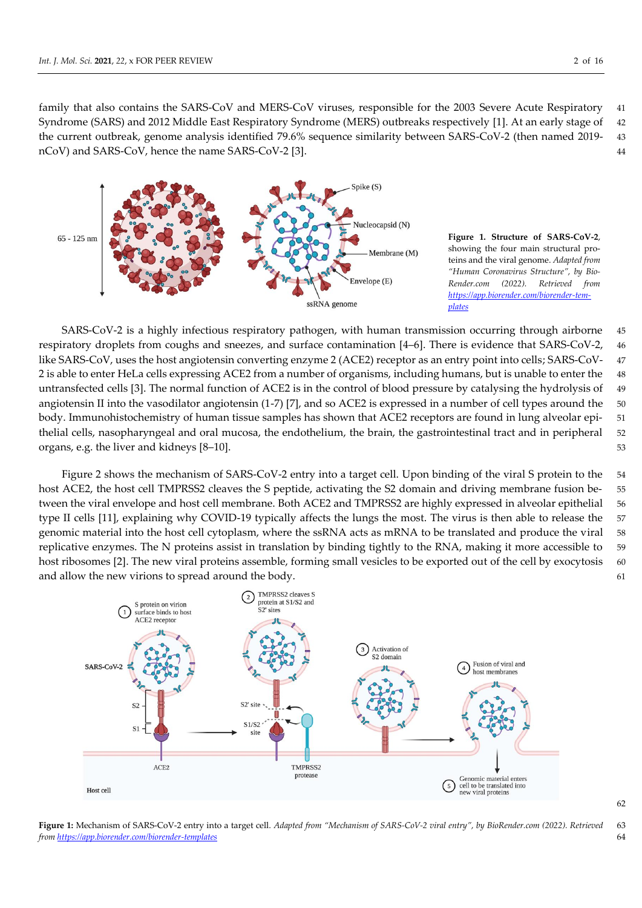family that also contains the SARS-CoV and MERS-CoV viruses, responsible for the 2003 Severe Acute Respiratory 41 Syndrome (SARS) and 2012 Middle East Respiratory Syndrome (MERS) outbreaks respectively [1]. At an early stage of 42 the current outbreak, genome analysis identified 79.6% sequence similarity between SARS-CoV-2 (then named 2019- 43 nCoV) and SARS-CoV, hence the name SARS-CoV-2 [3]. 44



**Figure 1. Structure of SARS-CoV-2**, showing the four main structural proteins and the viral genome. *Adapted from "Human Coronavirus Structure", by Bio-Render.com (2022). Retrieved from [https://app.biorender.com/biorender-tem](https://app.biorender.com/biorender-templates)[plates](https://app.biorender.com/biorender-templates)*

SARS-CoV-2 is a highly infectious respiratory pathogen, with human transmission occurring through airborne 45 respiratory droplets from coughs and sneezes, and surface contamination [4–6]. There is evidence that SARS-CoV-2, 46 like SARS-CoV, uses the host angiotensin converting enzyme 2 (ACE2) receptor as an entry point into cells; SARS-CoV- 47 2 is able to enter HeLa cells expressing ACE2 from a number of organisms, including humans, but is unable to enter the 48 untransfected cells [3]. The normal function of ACE2 is in the control of blood pressure by catalysing the hydrolysis of 49 angiotensin II into the vasodilator angiotensin (1-7) [7], and so ACE2 is expressed in a number of cell types around the 50 body. Immunohistochemistry of human tissue samples has shown that ACE2 receptors are found in lung alveolar epi- 51 thelial cells, nasopharyngeal and oral mucosa, the endothelium, the brain, the gastrointestinal tract and in peripheral 52 organs, e.g. the liver and kidneys [8–10]. 53

Figure 2 shows the mechanism of SARS-CoV-2 entry into a target cell. Upon binding of the viral S protein to the 54 host ACE2, the host cell TMPRSS2 cleaves the S peptide, activating the S2 domain and driving membrane fusion be- 55 tween the viral envelope and host cell membrane. Both ACE2 and TMPRSS2 are highly expressed in alveolar epithelial 56 type II cells [11], explaining why COVID-19 typically affects the lungs the most. The virus is then able to release the 57 genomic material into the host cell cytoplasm, where the ssRNA acts as mRNA to be translated and produce the viral 58 replicative enzymes. The N proteins assist in translation by binding tightly to the RNA, making it more accessible to 59 host ribosomes [2]. The new viral proteins assemble, forming small vesicles to be exported out of the cell by exocytosis 60 and allow the new virions to spread around the body.  $61$ 



**Figure 1:** Mechanism of SARS-CoV-2 entry into a target cell. *Adapted from "Mechanism of SARS-CoV-2 viral entry", by BioRender.com (2022). Retrieved* 63 *fro[m https://app.biorender.com/biorender-templates](https://app.biorender.com/biorender-templates)* 64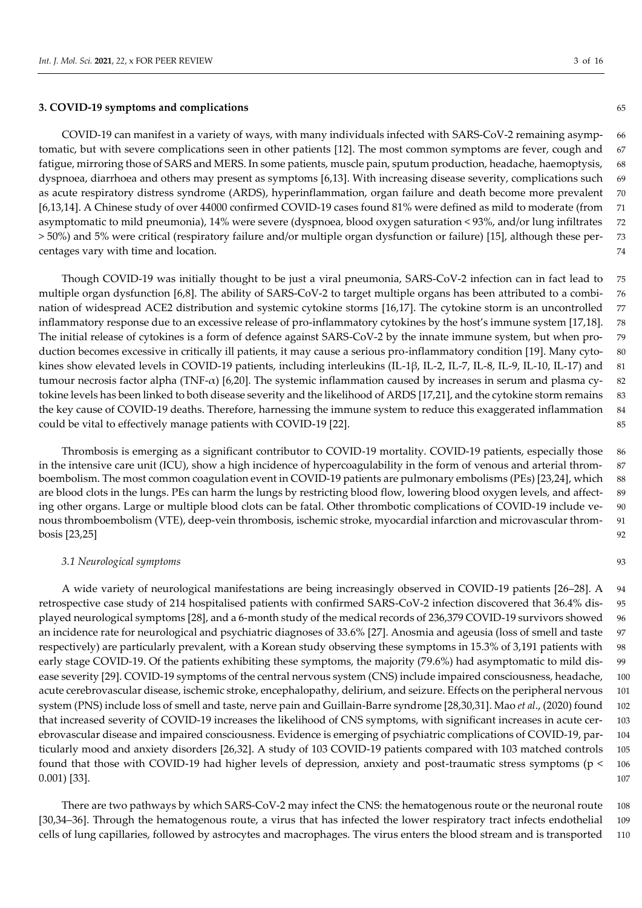# **3. COVID-19 symptoms and complications** 65

COVID-19 can manifest in a variety of ways, with many individuals infected with SARS-CoV-2 remaining asymp- 66 tomatic, but with severe complications seen in other patients [12]. The most common symptoms are fever, cough and 67 fatigue, mirroring those of SARS and MERS. In some patients, muscle pain, sputum production, headache, haemoptysis, 68 dyspnoea, diarrhoea and others may present as symptoms [6,13]. With increasing disease severity, complications such 69 as acute respiratory distress syndrome (ARDS), hyperinflammation, organ failure and death become more prevalent 70 [6,13,14]. A Chinese study of over 44000 confirmed COVID-19 cases found 81% were defined as mild to moderate (from 71 asymptomatic to mild pneumonia), 14% were severe (dyspnoea, blood oxygen saturation < 93%, and/or lung infiltrates 72 > 50%) and 5% were critical (respiratory failure and/or multiple organ dysfunction or failure) [15], although these per- 73 centages vary with time and location. The set of the set of the set of the set of the set of the set of the set of the set of the set of the set of the set of the set of the set of the set of the set of the set of the set

Though COVID-19 was initially thought to be just a viral pneumonia, SARS-CoV-2 infection can in fact lead to 75 multiple organ dysfunction [6,8]. The ability of SARS-CoV-2 to target multiple organs has been attributed to a combi- 76 nation of widespread ACE2 distribution and systemic cytokine storms [16,17]. The cytokine storm is an uncontrolled 77 inflammatory response due to an excessive release of pro-inflammatory cytokines by the host's immune system [17,18]. 78 The initial release of cytokines is a form of defence against SARS-CoV-2 by the innate immune system, but when pro- 79 duction becomes excessive in critically ill patients, it may cause a serious pro-inflammatory condition [19]. Many cyto- 80 kines show elevated levels in COVID-19 patients, including interleukins (IL-1β, IL-2, IL-7, IL-8, IL-9, IL-10, IL-17) and 81 tumour necrosis factor alpha (TNF- $\alpha$ ) [6,20]. The systemic inflammation caused by increases in serum and plasma cy- 82 tokine levels has been linked to both disease severity and the likelihood of ARDS [17,21], and the cytokine storm remains 83 the key cause of COVID-19 deaths. Therefore, harnessing the immune system to reduce this exaggerated inflammation 84 could be vital to effectively manage patients with COVID-19 [22]. 85

Thrombosis is emerging as a significant contributor to COVID-19 mortality. COVID-19 patients, especially those 86 in the intensive care unit (ICU), show a high incidence of hypercoagulability in the form of venous and arterial throm- 87 boembolism. The most common coagulation event in COVID-19 patients are pulmonary embolisms (PEs) [23,24], which 88 are blood clots in the lungs. PEs can harm the lungs by restricting blood flow, lowering blood oxygen levels, and affect- 89 ing other organs. Large or multiple blood clots can be fatal. Other thrombotic complications of COVID-19 include ve- 90 nous thromboembolism (VTE), deep-vein thrombosis, ischemic stroke, myocardial infarction and microvascular throm- 91 bosis [23,25] 92

### *3.1 Neurological symptoms* 93

A wide variety of neurological manifestations are being increasingly observed in COVID-19 patients [26–28]. A 94 retrospective case study of 214 hospitalised patients with confirmed SARS-CoV-2 infection discovered that 36.4% dis- 95 played neurological symptoms [28], and a 6-month study of the medical records of 236,379 COVID-19 survivors showed 96 an incidence rate for neurological and psychiatric diagnoses of 33.6% [27]. Anosmia and ageusia (loss of smell and taste 97 respectively) are particularly prevalent, with a Korean study observing these symptoms in 15.3% of 3,191 patients with 98 early stage COVID-19. Of the patients exhibiting these symptoms, the majority (79.6%) had asymptomatic to mild dis- 99 ease severity [29]. COVID-19 symptoms of the central nervous system (CNS) include impaired consciousness, headache, 100 acute cerebrovascular disease, ischemic stroke, encephalopathy, delirium, and seizure. Effects on the peripheral nervous 101 system (PNS) include loss of smell and taste, nerve pain and Guillain-Barre syndrome [28,30,31]. Mao *et al*., (2020) found 102 that increased severity of COVID-19 increases the likelihood of CNS symptoms, with significant increases in acute cer- 103 ebrovascular disease and impaired consciousness. Evidence is emerging of psychiatric complications of COVID-19, par- 104 ticularly mood and anxiety disorders [26,32]. A study of 103 COVID-19 patients compared with 103 matched controls 105 found that those with COVID-19 had higher levels of depression, anxiety and post-traumatic stress symptoms (p < 106 0.001) [33]. 107

There are two pathways by which SARS-CoV-2 may infect the CNS: the hematogenous route or the neuronal route 108 [30,34–36]. Through the hematogenous route, a virus that has infected the lower respiratory tract infects endothelial 109 cells of lung capillaries, followed by astrocytes and macrophages. The virus enters the blood stream and is transported 110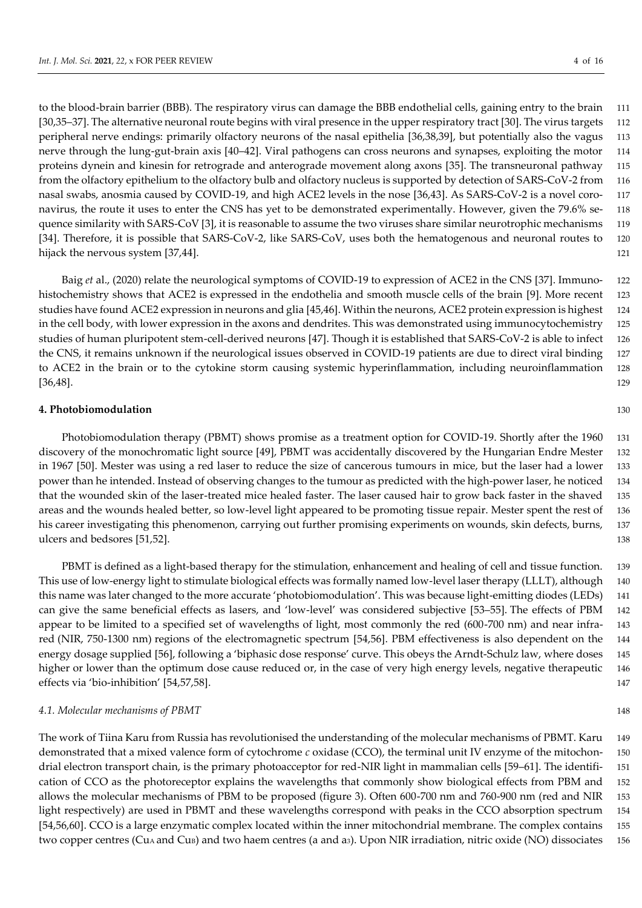to the blood-brain barrier (BBB). The respiratory virus can damage the BBB endothelial cells, gaining entry to the brain 111 [30,35–37]. The alternative neuronal route begins with viral presence in the upper respiratory tract [30]. The virus targets 112 peripheral nerve endings: primarily olfactory neurons of the nasal epithelia [36,38,39], but potentially also the vagus 113 nerve through the lung-gut-brain axis [40–42]. Viral pathogens can cross neurons and synapses, exploiting the motor 114 proteins dynein and kinesin for retrograde and anterograde movement along axons [35]. The transneuronal pathway 115 from the olfactory epithelium to the olfactory bulb and olfactory nucleus is supported by detection of SARS-CoV-2 from 116 nasal swabs, anosmia caused by COVID-19, and high ACE2 levels in the nose [36,43]. As SARS-CoV-2 is a novel coro- 117 navirus, the route it uses to enter the CNS has yet to be demonstrated experimentally. However, given the 79.6% se- 118 quence similarity with SARS-CoV [3], it is reasonable to assume the two viruses share similar neurotrophic mechanisms 119 [34]. Therefore, it is possible that SARS-CoV-2, like SARS-CoV, uses both the hematogenous and neuronal routes to 120 hijack the nervous system [37,44]. 121

Baig *et* al., (2020) relate the neurological symptoms of COVID-19 to expression of ACE2 in the CNS [37]. Immuno- 122 histochemistry shows that ACE2 is expressed in the endothelia and smooth muscle cells of the brain [9]. More recent 123 studies have found ACE2 expression in neurons and glia [45,46]. Within the neurons, ACE2 protein expression is highest 124 in the cell body, with lower expression in the axons and dendrites. This was demonstrated using immunocytochemistry 125 studies of human pluripotent stem-cell-derived neurons [47]. Though it is established that SARS-CoV-2 is able to infect 126 the CNS, it remains unknown if the neurological issues observed in COVID-19 patients are due to direct viral binding 127 to ACE2 in the brain or to the cytokine storm causing systemic hyperinflammation, including neuroinflammation 128 [36,48]. 129

# **4. Photobiomodulation** 130

Photobiomodulation therapy (PBMT) shows promise as a treatment option for COVID-19. Shortly after the 1960 131 discovery of the monochromatic light source [49], PBMT was accidentally discovered by the Hungarian Endre Mester 132 in 1967 [50]. Mester was using a red laser to reduce the size of cancerous tumours in mice, but the laser had a lower 133 power than he intended. Instead of observing changes to the tumour as predicted with the high-power laser, he noticed 134 that the wounded skin of the laser-treated mice healed faster. The laser caused hair to grow back faster in the shaved 135 areas and the wounds healed better, so low-level light appeared to be promoting tissue repair. Mester spent the rest of 136 his career investigating this phenomenon, carrying out further promising experiments on wounds, skin defects, burns, 137 ulcers and bedsores [51,52]. 138

PBMT is defined as a light-based therapy for the stimulation, enhancement and healing of cell and tissue function. 139 This use of low-energy light to stimulate biological effects was formally named low-level laser therapy (LLLT), although 140 this name was later changed to the more accurate 'photobiomodulation'. This was because light-emitting diodes (LEDs) 141 can give the same beneficial effects as lasers, and 'low-level' was considered subjective [53–55]. The effects of PBM 142 appear to be limited to a specified set of wavelengths of light, most commonly the red (600-700 nm) and near infra- 143 red (NIR, 750-1300 nm) regions of the electromagnetic spectrum [54,56]. PBM effectiveness is also dependent on the 144 energy dosage supplied [56], following a 'biphasic dose response' curve. This obeys the Arndt-Schulz law, where doses 145 higher or lower than the optimum dose cause reduced or, in the case of very high energy levels, negative therapeutic 146 effects via 'bio-inhibition' [54,57,58]. 147

#### *4.1. Molecular mechanisms of PBMT* 148

The work of Tiina Karu from Russia has revolutionised the understanding of the molecular mechanisms of PBMT. Karu 149 demonstrated that a mixed valence form of cytochrome *c* oxidase (CCO), the terminal unit IV enzyme of the mitochon- 150 drial electron transport chain, is the primary photoacceptor for red-NIR light in mammalian cells [59–61]. The identifi- 151 cation of CCO as the photoreceptor explains the wavelengths that commonly show biological effects from PBM and 152 allows the molecular mechanisms of PBM to be proposed (figure 3). Often 600-700 nm and 760-900 nm (red and NIR 153 light respectively) are used in PBMT and these wavelengths correspond with peaks in the CCO absorption spectrum 154 [54,56,60]. CCO is a large enzymatic complex located within the inner mitochondrial membrane. The complex contains 155 two copper centres (CuA and CuB) and two haem centres (a and a3). Upon NIR irradiation, nitric oxide (NO) dissociates 156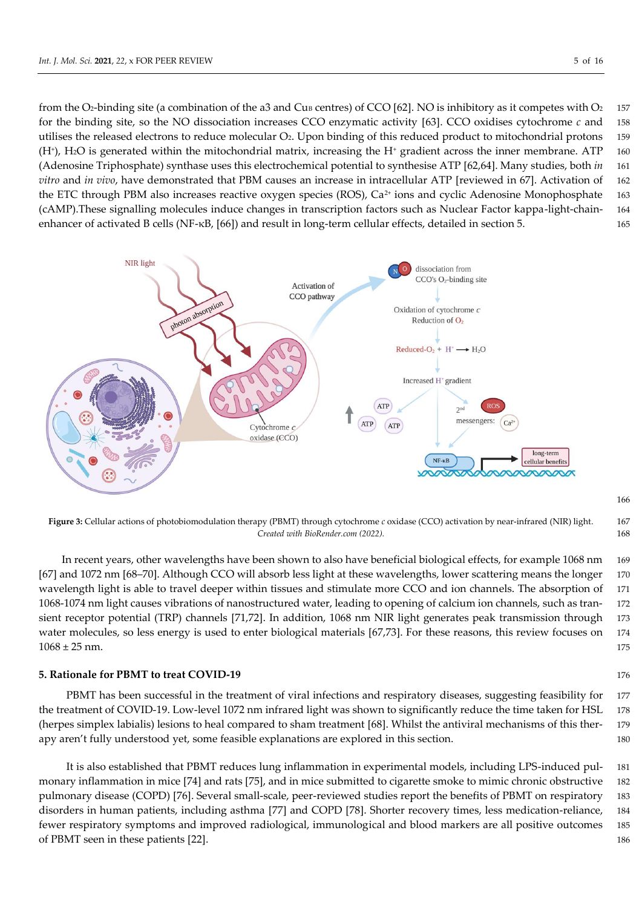from the O<sub>2</sub>-binding site (a combination of the a3 and Cu<sub>B</sub> centres) of CCO [62]. NO is inhibitory as it competes with O<sub>2</sub> 157 for the binding site, so the NO dissociation increases CCO enzymatic activity [63]. CCO oxidises cytochrome *c* and 158 utilises the released electrons to reduce molecular O2. Upon binding of this reduced product to mitochondrial protons 159 (H<sup>+</sup>), H<sub>2</sub>O is generated within the mitochondrial matrix, increasing the H<sup>+</sup> gradient across the inner membrane. ATP 160 (Adenosine Triphosphate) synthase uses this electrochemical potential to synthesise ATP [62,64]. Many studies, both *in* 161 *vitro* and *in vivo*, have demonstrated that PBM causes an increase in intracellular ATP [reviewed in 67]. Activation of 162 the ETC through PBM also increases reactive oxygen species (ROS), Ca<sup>2+</sup> ions and cyclic Adenosine Monophosphate 163 (cAMP).These signalling molecules induce changes in transcription factors such as Nuclear Factor kappa-light-chain- 164 enhancer of activated B cells (NF-κB, [66]) and result in long-term cellular effects, detailed in section 5. 165



**Figure 3:** Cellular actions of photobiomodulation therapy (PBMT) through cytochrome *c* oxidase (CCO) activation by near-infrared (NIR) light. 167 *Created with BioRender.com (2022).* 168

In recent years, other wavelengths have been shown to also have beneficial biological effects, for example 1068 nm 169 [67] and 1072 nm [68–70]. Although CCO will absorb less light at these wavelengths, lower scattering means the longer 170 wavelength light is able to travel deeper within tissues and stimulate more CCO and ion channels. The absorption of 171 1068-1074 nm light causes vibrations of nanostructured water, leading to opening of calcium ion channels, such as tran- 172 sient receptor potential (TRP) channels [71,72]. In addition, 1068 nm NIR light generates peak transmission through 173 water molecules, so less energy is used to enter biological materials [67,73]. For these reasons, this review focuses on 174  $1068 \pm 25$  nm. 175

#### **5. Rationale for PBMT to treat COVID-19** 176

PBMT has been successful in the treatment of viral infections and respiratory diseases, suggesting feasibility for 177 the treatment of COVID-19. Low-level 1072 nm infrared light was shown to significantly reduce the time taken for HSL 178 (herpes simplex labialis) lesions to heal compared to sham treatment [68]. Whilst the antiviral mechanisms of this ther- 179 apy aren't fully understood yet, some feasible explanations are explored in this section. 180

It is also established that PBMT reduces lung inflammation in experimental models, including LPS-induced pul- 181 monary inflammation in mice [74] and rats [75], and in mice submitted to cigarette smoke to mimic chronic obstructive 182 pulmonary disease (COPD) [76]. Several small-scale, peer-reviewed studies report the benefits of PBMT on respiratory 183 disorders in human patients, including asthma [77] and COPD [78]. Shorter recovery times, less medication-reliance, 184 fewer respiratory symptoms and improved radiological, immunological and blood markers are all positive outcomes 185 of PBMT seen in these patients [22]. 186

166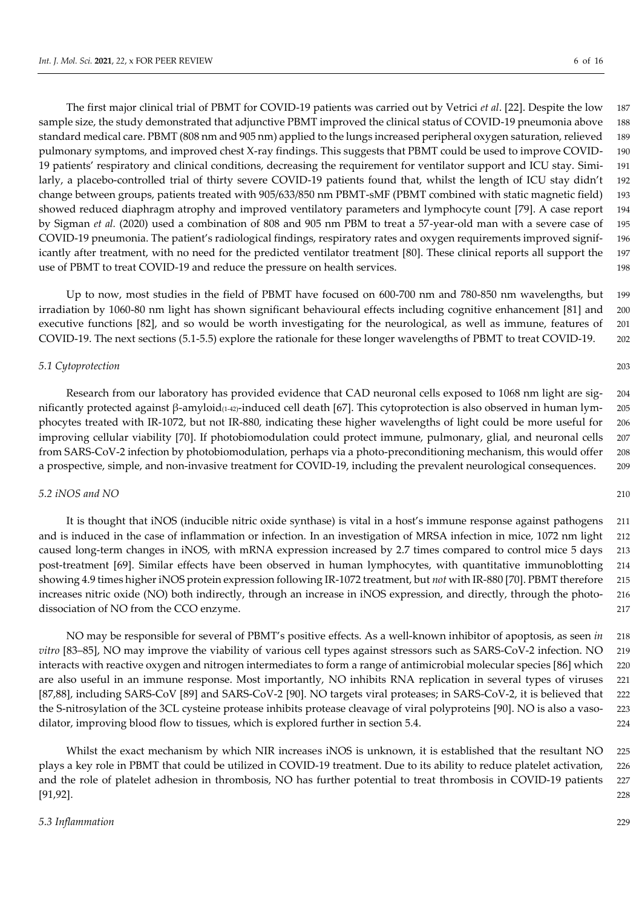The first major clinical trial of PBMT for COVID-19 patients was carried out by Vetrici *et al*. [22]. Despite the low 187 sample size, the study demonstrated that adjunctive PBMT improved the clinical status of COVID-19 pneumonia above 188 standard medical care. PBMT (808 nm and 905 nm) applied to the lungs increased peripheral oxygen saturation, relieved 189 pulmonary symptoms, and improved chest X-ray findings. This suggests that PBMT could be used to improve COVID- 190 19 patients' respiratory and clinical conditions, decreasing the requirement for ventilator support and ICU stay. Simi- 191 larly, a placebo-controlled trial of thirty severe COVID-19 patients found that, whilst the length of ICU stay didn't 192 change between groups, patients treated with 905/633/850 nm PBMT-sMF (PBMT combined with static magnetic field) 193 showed reduced diaphragm atrophy and improved ventilatory parameters and lymphocyte count [79]. A case report 194 by Sigman *et al.* (2020) used a combination of 808 and 905 nm PBM to treat a 57-year-old man with a severe case of 195 COVID-19 pneumonia. The patient's radiological findings, respiratory rates and oxygen requirements improved signif- 196 icantly after treatment, with no need for the predicted ventilator treatment [80]. These clinical reports all support the 197 use of PBMT to treat COVID-19 and reduce the pressure on health services. 198

Up to now, most studies in the field of PBMT have focused on 600-700 nm and 780-850 nm wavelengths, but 199 irradiation by 1060-80 nm light has shown significant behavioural effects including cognitive enhancement [81] and 200 executive functions [82], and so would be worth investigating for the neurological, as well as immune, features of 201 COVID-19. The next sections (5.1-5.5) explore the rationale for these longer wavelengths of PBMT to treat COVID-19. 202

### *5.1 Cytoprotection* 203

Research from our laboratory has provided evidence that CAD neuronal cells exposed to 1068 nm light are sig- 204 nificantly protected against β-amyloid(1-42)-induced cell death [67]. This cytoprotection is also observed in human lym- 205 phocytes treated with IR-1072, but not IR-880, indicating these higher wavelengths of light could be more useful for 206 improving cellular viability [70]. If photobiomodulation could protect immune, pulmonary, glial, and neuronal cells 207 from SARS-CoV-2 infection by photobiomodulation, perhaps via a photo-preconditioning mechanism, this would offer 208 a prospective, simple, and non-invasive treatment for COVID-19, including the prevalent neurological consequences. 209

# *5.2 iNOS and NO* 210

It is thought that iNOS (inducible nitric oxide synthase) is vital in a host's immune response against pathogens 211 and is induced in the case of inflammation or infection. In an investigation of MRSA infection in mice, 1072 nm light 212 caused long-term changes in iNOS, with mRNA expression increased by 2.7 times compared to control mice 5 days 213 post-treatment [69]. Similar effects have been observed in human lymphocytes, with quantitative immunoblotting 214 showing 4.9 times higher iNOS protein expression following IR-1072 treatment, but *not* with IR-880 [70]. PBMT therefore 215 increases nitric oxide (NO) both indirectly, through an increase in iNOS expression, and directly, through the photo- 216 dissociation of NO from the CCO enzyme. 217

NO may be responsible for several of PBMT's positive effects. As a well-known inhibitor of apoptosis, as seen *in* 218 *vitro* [83–85], NO may improve the viability of various cell types against stressors such as SARS-CoV-2 infection. NO 219 interacts with reactive oxygen and nitrogen intermediates to form a range of antimicrobial molecular species [86] which 220 are also useful in an immune response. Most importantly, NO inhibits RNA replication in several types of viruses 221 [87,88], including SARS-CoV [89] and SARS-CoV-2 [90]. NO targets viral proteases; in SARS-CoV-2, it is believed that 222 the S-nitrosylation of the 3CL cysteine protease inhibits protease cleavage of viral polyproteins [90]. NO is also a vaso- 223 dilator, improving blood flow to tissues, which is explored further in section 5.4. 224

Whilst the exact mechanism by which NIR increases iNOS is unknown, it is established that the resultant NO 225 plays a key role in PBMT that could be utilized in COVID-19 treatment. Due to its ability to reduce platelet activation, 226 and the role of platelet adhesion in thrombosis, NO has further potential to treat thrombosis in COVID-19 patients 227 [91,92]. 228

#### *5.3 Inflammation* 229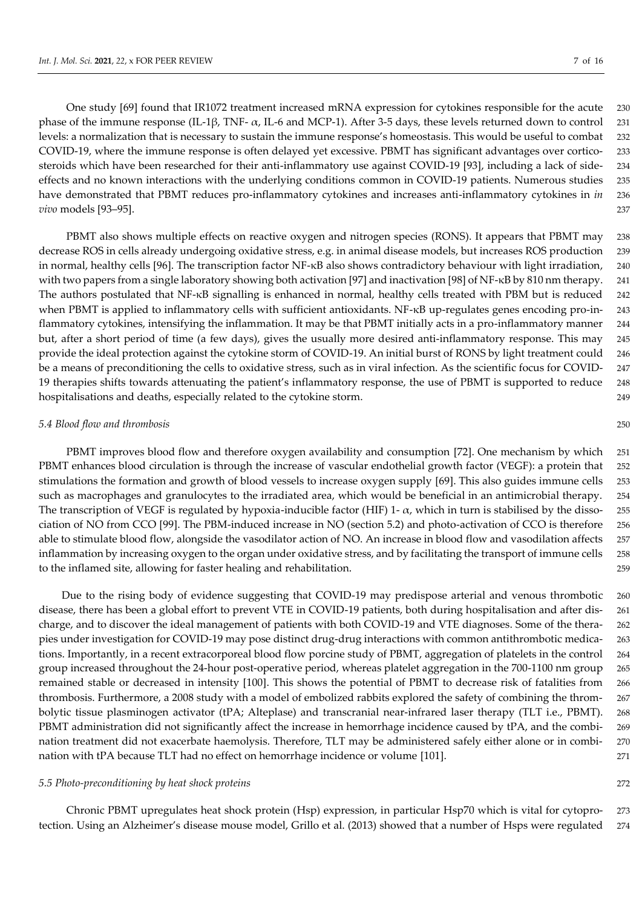One study [69] found that IR1072 treatment increased mRNA expression for cytokines responsible for the acute 230 phase of the immune response (IL-1β, TNF-  $\alpha$ , IL-6 and MCP-1). After 3-5 days, these levels returned down to control 231 levels: a normalization that is necessary to sustain the immune response's homeostasis. This would be useful to combat 232 COVID-19, where the immune response is often delayed yet excessive. PBMT has significant advantages over cortico- 233 steroids which have been researched for their anti-inflammatory use against COVID-19 [93], including a lack of side- 234 effects and no known interactions with the underlying conditions common in COVID-19 patients. Numerous studies 235 have demonstrated that PBMT reduces pro-inflammatory cytokines and increases anti-inflammatory cytokines in *in* 236 *vivo* models [93–95]. 237

PBMT also shows multiple effects on reactive oxygen and nitrogen species (RONS). It appears that PBMT may 238 decrease ROS in cells already undergoing oxidative stress, e.g. in animal disease models, but increases ROS production 239 in normal, healthy cells [96]. The transcription factor NF-κB also shows contradictory behaviour with light irradiation, 240 with two papers from a single laboratory showing both activation [97] and inactivation [98] of NF-κB by 810 nm therapy. 241 The authors postulated that NF-κB signalling is enhanced in normal, healthy cells treated with PBM but is reduced 242 when PBMT is applied to inflammatory cells with sufficient antioxidants. NF-κB up-regulates genes encoding pro-in- 243 flammatory cytokines, intensifying the inflammation. It may be that PBMT initially acts in a pro-inflammatory manner 244 but, after a short period of time (a few days), gives the usually more desired anti-inflammatory response. This may 245 provide the ideal protection against the cytokine storm of COVID-19. An initial burst of RONS by light treatment could 246 be a means of preconditioning the cells to oxidative stress, such as in viral infection. As the scientific focus for COVID- 247 19 therapies shifts towards attenuating the patient's inflammatory response, the use of PBMT is supported to reduce 248 hospitalisations and deaths, especially related to the cytokine storm. 249

#### *5.4 Blood flow and thrombosis* 250

PBMT improves blood flow and therefore oxygen availability and consumption [72]. One mechanism by which 251 PBMT enhances blood circulation is through the increase of vascular endothelial growth factor (VEGF): a protein that 252 stimulations the formation and growth of blood vessels to increase oxygen supply [69]. This also guides immune cells 253 such as macrophages and granulocytes to the irradiated area, which would be beneficial in an antimicrobial therapy. 254 The transcription of VEGF is regulated by hypoxia-inducible factor (HIF) 1-  $\alpha$ , which in turn is stabilised by the disso-255 ciation of NO from CCO [99]. The PBM-induced increase in NO (section 5.2) and photo-activation of CCO is therefore 256 able to stimulate blood flow, alongside the vasodilator action of NO. An increase in blood flow and vasodilation affects 257 inflammation by increasing oxygen to the organ under oxidative stress, and by facilitating the transport of immune cells 258 to the inflamed site, allowing for faster healing and rehabilitation. 259

Due to the rising body of evidence suggesting that COVID-19 may predispose arterial and venous thrombotic 260 disease, there has been a global effort to prevent VTE in COVID-19 patients, both during hospitalisation and after dis- 261 charge, and to discover the ideal management of patients with both COVID-19 and VTE diagnoses. Some of the thera- 262 pies under investigation for COVID-19 may pose distinct drug-drug interactions with common antithrombotic medica- 263 tions. Importantly, in a recent extracorporeal blood flow porcine study of PBMT, aggregation of platelets in the control 264 group increased throughout the 24-hour post-operative period, whereas platelet aggregation in the 700-1100 nm group 265 remained stable or decreased in intensity [100]. This shows the potential of PBMT to decrease risk of fatalities from 266 thrombosis. Furthermore, a 2008 study with a model of embolized rabbits explored the safety of combining the throm- 267 bolytic tissue plasminogen activator (tPA; Alteplase) and transcranial near-infrared laser therapy (TLT i.e., PBMT). 268 PBMT administration did not significantly affect the increase in hemorrhage incidence caused by tPA, and the combi- 269 nation treatment did not exacerbate haemolysis. Therefore, TLT may be administered safely either alone or in combi- 270 nation with tPA because TLT had no effect on hemorrhage incidence or volume [101]. 271

#### *5.5 Photo-preconditioning by heat shock proteins* 272

Chronic PBMT upregulates heat shock protein (Hsp) expression, in particular Hsp70 which is vital for cytopro- 273 tection. Using an Alzheimer's disease mouse model, Grillo et al. (2013) showed that a number of Hsps were regulated 274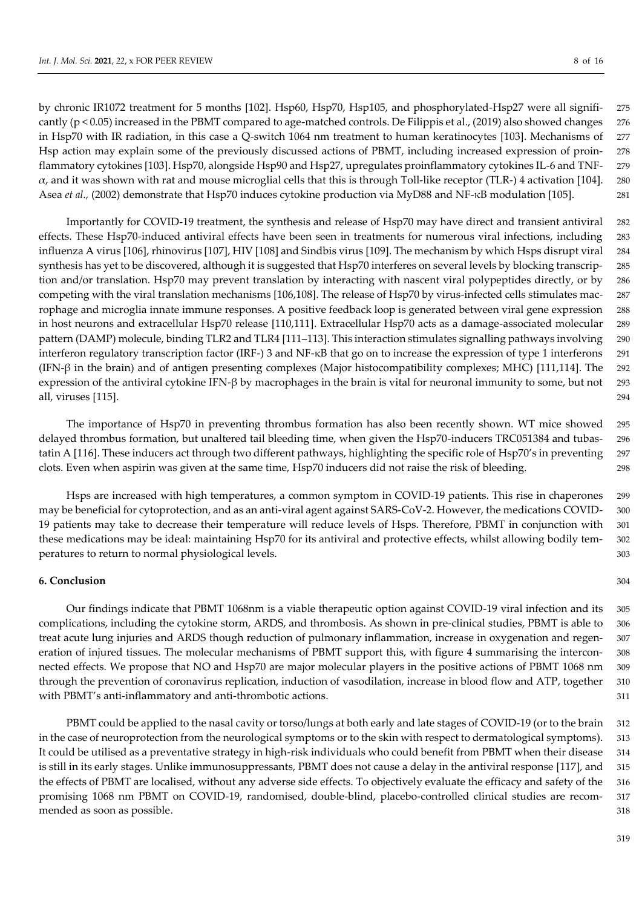by chronic IR1072 treatment for 5 months [102]. Hsp60, Hsp70, Hsp105, and phosphorylated-Hsp27 were all signifi- 275 cantly (p < 0.05) increased in the PBMT compared to age-matched controls. De Filippis et al., (2019) also showed changes 276 in Hsp70 with IR radiation, in this case a Q-switch 1064 nm treatment to human keratinocytes [103]. Mechanisms of 277 Hsp action may explain some of the previously discussed actions of PBMT, including increased expression of proin- 278 flammatory cytokines [103]. Hsp70, alongside Hsp90 and Hsp27, upregulates proinflammatory cytokines IL-6 and TNF- 279  $\alpha$ , and it was shown with rat and mouse microglial cells that this is through Toll-like receptor (TLR-) 4 activation [104]. 280 Asea *et al.,* (2002) demonstrate that Hsp70 induces cytokine production via MyD88 and NF-κB modulation [105]. 281

Importantly for COVID-19 treatment, the synthesis and release of Hsp70 may have direct and transient antiviral 282 effects. These Hsp70-induced antiviral effects have been seen in treatments for numerous viral infections, including 283 influenza A virus [106], rhinovirus [107], HIV [108] and Sindbis virus [109]. The mechanism by which Hsps disrupt viral 284 synthesis has yet to be discovered, although it is suggested that Hsp70 interferes on several levels by blocking transcrip- 285 tion and/or translation. Hsp70 may prevent translation by interacting with nascent viral polypeptides directly, or by 286 competing with the viral translation mechanisms [106,108]. The release of Hsp70 by virus-infected cells stimulates mac- 287 rophage and microglia innate immune responses. A positive feedback loop is generated between viral gene expression 288 in host neurons and extracellular Hsp70 release [110,111]. Extracellular Hsp70 acts as a damage-associated molecular 289 pattern (DAMP) molecule, binding TLR2 and TLR4 [111–113]. This interaction stimulates signalling pathways involving 290 interferon regulatory transcription factor (IRF-) 3 and NF-κB that go on to increase the expression of type 1 interferons 291 (IFN-β in the brain) and of antigen presenting complexes (Major histocompatibility complexes; MHC) [111,114]. The 292 expression of the antiviral cytokine IFN-β by macrophages in the brain is vital for neuronal immunity to some, but not 293 all, viruses [115]. 294

The importance of Hsp70 in preventing thrombus formation has also been recently shown. WT mice showed 295 delayed thrombus formation, but unaltered tail bleeding time, when given the Hsp70-inducers TRC051384 and tubas- 296 tatin A [116]. These inducers act through two different pathways, highlighting the specific role of Hsp70's in preventing 297 clots. Even when aspirin was given at the same time, Hsp70 inducers did not raise the risk of bleeding. 298

Hsps are increased with high temperatures, a common symptom in COVID-19 patients. This rise in chaperones 299 may be beneficial for cytoprotection, and as an anti-viral agent against SARS-CoV-2. However, the medications COVID- 300 19 patients may take to decrease their temperature will reduce levels of Hsps. Therefore, PBMT in conjunction with 301 these medications may be ideal: maintaining Hsp70 for its antiviral and protective effects, whilst allowing bodily tem- 302 peratures to return to normal physiological levels. 303

# **6. Conclusion** 304

Our findings indicate that PBMT 1068nm is a viable therapeutic option against COVID-19 viral infection and its 305 complications, including the cytokine storm, ARDS, and thrombosis. As shown in pre-clinical studies, PBMT is able to 306 treat acute lung injuries and ARDS though reduction of pulmonary inflammation, increase in oxygenation and regen- 307 eration of injured tissues. The molecular mechanisms of PBMT support this, with figure 4 summarising the intercon- 308 nected effects. We propose that NO and Hsp70 are major molecular players in the positive actions of PBMT 1068 nm 309 through the prevention of coronavirus replication, induction of vasodilation, increase in blood flow and ATP, together 310 with PBMT's anti-inflammatory and anti-thrombotic actions.  $311$ 

PBMT could be applied to the nasal cavity or torso/lungs at both early and late stages of COVID-19 (or to the brain 312 in the case of neuroprotection from the neurological symptoms or to the skin with respect to dermatological symptoms). 313 It could be utilised as a preventative strategy in high-risk individuals who could benefit from PBMT when their disease 314 is still in its early stages. Unlike immunosuppressants, PBMT does not cause a delay in the antiviral response [117], and 315 the effects of PBMT are localised, without any adverse side effects. To objectively evaluate the efficacy and safety of the 316 promising 1068 nm PBMT on COVID-19, randomised, double-blind, placebo-controlled clinical studies are recom- 317 mended as soon as possible. 318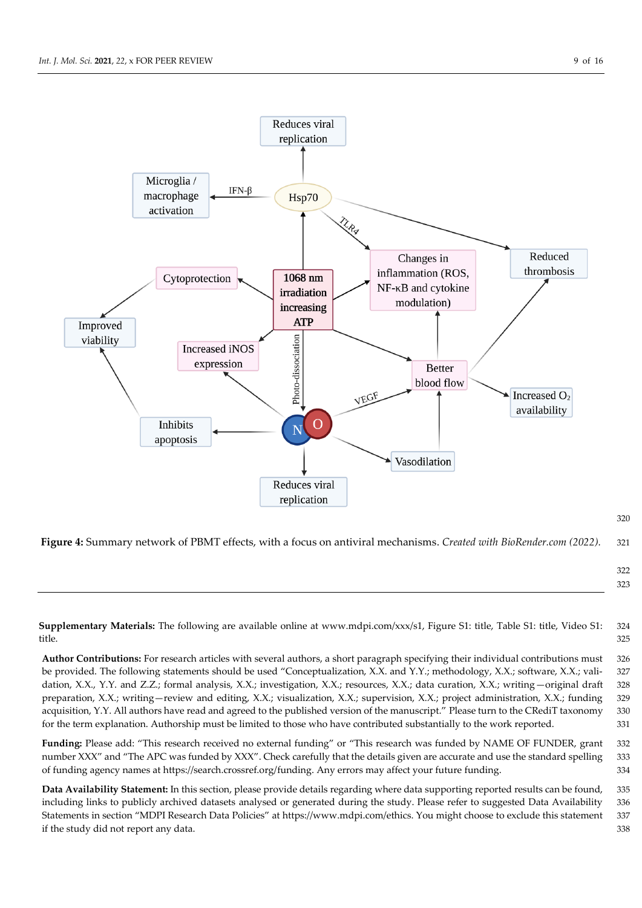

320

**Figure 4:** Summary network of PBMT effects, with a focus on antiviral mechanisms. *Created with BioRender.com (2022).* 321

322 323

**Supplementary Materials:** The following are available online at www.mdpi.com/xxx/s1, Figure S1: title, Table S1: title, Video S1: 324 title. 325

**Author Contributions:** For research articles with several authors, a short paragraph specifying their individual contributions must 326 be provided. The following statements should be used "Conceptualization, X.X. and Y.Y.; methodology, X.X.; software, X.X.; vali- 327 dation, X.X., Y.Y. and Z.Z.; formal analysis, X.X.; investigation, X.X.; resources, X.X.; data curation, X.X.; writing -original draft 328 preparation, X.X.; writing—review and editing, X.X.; visualization, X.X.; supervision, X.X.; project administration, X.X.; funding 329 acquisition, Y.Y. All authors have read and agreed to the published version of the manuscript." Please turn to the CRediT taxonomy 330 for the term explanation. Authorship must be limited to those who have contributed substantially to the work reported. 331

**Funding:** Please add: "This research received no external funding" or "This research was funded by NAME OF FUNDER, grant 332 number XXX" and "The APC was funded by XXX". Check carefully that the details given are accurate and use the standard spelling 333 of funding agency names at https://search.crossref.org/funding. Any errors may affect your future funding. 334

**Data Availability Statement:** In this section, please provide details regarding where data supporting reported results can be found, 335 including links to publicly archived datasets analysed or generated during the study. Please refer to suggested Data Availability 336 Statements in section "MDPI Research Data Policies" at https://www.mdpi.com/ethics. You might choose to exclude this statement 337 if the study did not report any data. 338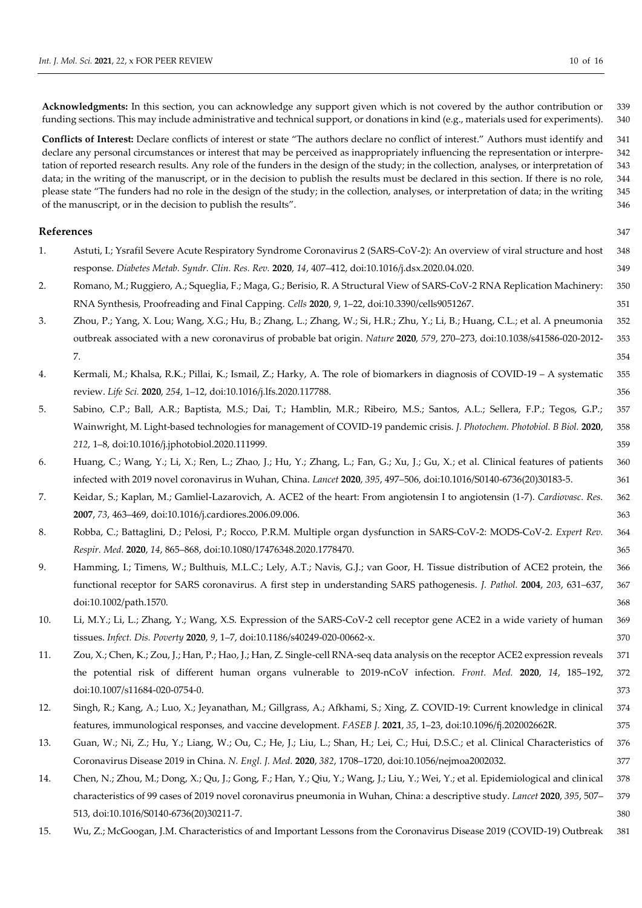**Acknowledgments:** In this section, you can acknowledge any support given which is not covered by the author contribution or 339 funding sections. This may include administrative and technical support, or donations in kind (e.g., materials used for experiments). 340

**Conflicts of Interest:** Declare conflicts of interest or state "The authors declare no conflict of interest." Authors must identify and 341 declare any personal circumstances or interest that may be perceived as inappropriately influencing the representation or interpre- 342 tation of reported research results. Any role of the funders in the design of the study; in the collection, analyses, or interpretation of 343 data; in the writing of the manuscript, or in the decision to publish the results must be declared in this section. If there is no role, 344 please state "The funders had no role in the design of the study; in the collection, analyses, or interpretation of data; in the writing 345 of the manuscript, or in the decision to publish the results". 346

#### **References** 347

| 1.  | Astuti, I.; Ysrafil Severe Acute Respiratory Syndrome Coronavirus 2 (SARS-CoV-2): An overview of viral structure and host         | 348 |
|-----|-----------------------------------------------------------------------------------------------------------------------------------|-----|
|     | response. Diabetes Metab. Syndr. Clin. Res. Rev. 2020, 14, 407-412, doi:10.1016/j.dsx.2020.04.020.                                | 349 |
| 2.  | Romano, M.; Ruggiero, A.; Squeglia, F.; Maga, G.; Berisio, R. A Structural View of SARS-CoV-2 RNA Replication Machinery:          | 350 |
|     | RNA Synthesis, Proofreading and Final Capping. Cells 2020, 9, 1-22, doi:10.3390/cells9051267.                                     | 351 |
| 3.  | Zhou, P.; Yang, X. Lou; Wang, X.G.; Hu, B.; Zhang, L.; Zhang, W.; Si, H.R.; Zhu, Y.; Li, B.; Huang, C.L.; et al. A pneumonia      | 352 |
|     | outbreak associated with a new coronavirus of probable bat origin. Nature 2020, 579, 270-273, doi:10.1038/s41586-020-2012-        | 353 |
|     | 7.                                                                                                                                | 354 |
| 4.  | Kermali, M.; Khalsa, R.K.; Pillai, K.; Ismail, Z.; Harky, A. The role of biomarkers in diagnosis of COVID-19 - A systematic       | 355 |
|     | review. Life Sci. 2020, 254, 1-12, doi:10.1016/j.lfs.2020.117788.                                                                 | 356 |
| 5.  | Sabino, C.P.; Ball, A.R.; Baptista, M.S.; Dai, T.; Hamblin, M.R.; Ribeiro, M.S.; Santos, A.L.; Sellera, F.P.; Tegos, G.P.;        | 357 |
|     | Wainwright, M. Light-based technologies for management of COVID-19 pandemic crisis. J. Photochem. Photobiol. B Biol. 2020,        | 358 |
|     | 212, 1-8, doi:10.1016/j.jphotobiol.2020.111999.                                                                                   | 359 |
| 6.  | Huang, C.; Wang, Y.; Li, X.; Ren, L.; Zhao, J.; Hu, Y.; Zhang, L.; Fan, G.; Xu, J.; Gu, X.; et al. Clinical features of patients  | 360 |
|     | infected with 2019 novel coronavirus in Wuhan, China. Lancet 2020, 395, 497-506, doi:10.1016/S0140-6736(20)30183-5.               | 361 |
| 7.  | Keidar, S.; Kaplan, M.; Gamliel-Lazarovich, A. ACE2 of the heart: From angiotensin I to angiotensin (1-7). Cardiovasc. Res.       | 362 |
|     | 2007, 73, 463-469, doi:10.1016/j.cardiores.2006.09.006.                                                                           | 363 |
| 8.  | Robba, C.; Battaglini, D.; Pelosi, P.; Rocco, P.R.M. Multiple organ dysfunction in SARS-CoV-2: MODS-CoV-2. Expert Rev.            | 364 |
|     | Respir. Med. 2020, 14, 865-868, doi:10.1080/17476348.2020.1778470.                                                                | 365 |
| 9.  | Hamming, I.; Timens, W.; Bulthuis, M.L.C.; Lely, A.T.; Navis, G.J.; van Goor, H. Tissue distribution of ACE2 protein, the         | 366 |
|     | functional receptor for SARS coronavirus. A first step in understanding SARS pathogenesis. J. Pathol. 2004, 203, 631-637,         | 367 |
|     | doi:10.1002/path.1570.                                                                                                            | 368 |
| 10. | Li, M.Y.; Li, L.; Zhang, Y.; Wang, X.S. Expression of the SARS-CoV-2 cell receptor gene ACE2 in a wide variety of human           | 369 |
|     | tissues. Infect. Dis. Poverty 2020, 9, 1-7, doi:10.1186/s40249-020-00662-x.                                                       | 370 |
| 11. | Zou, X.; Chen, K.; Zou, J.; Han, P.; Hao, J.; Han, Z. Single-cell RNA-seq data analysis on the receptor ACE2 expression reveals   | 371 |
|     | the potential risk of different human organs vulnerable to 2019-nCoV infection. Front. Med. 2020, 14, 185-192,                    | 372 |
|     | doi:10.1007/s11684-020-0754-0.                                                                                                    | 373 |
| 12. | Singh, R.; Kang, A.; Luo, X.; Jeyanathan, M.; Gillgrass, A.; Afkhami, S.; Xing, Z. COVID-19: Current knowledge in clinical        | 374 |
|     | features, immunological responses, and vaccine development. FASEB J. 2021, 35, 1-23, doi:10.1096/fj.202002662R.                   | 375 |
| 13. | Guan, W.; Ni, Z.; Hu, Y.; Liang, W.; Ou, C.; He, J.; Liu, L.; Shan, H.; Lei, C.; Hui, D.S.C.; et al. Clinical Characteristics of  | 376 |
|     | Coronavirus Disease 2019 in China. N. Engl. J. Med. 2020, 382, 1708-1720, doi:10.1056/nejmoa2002032.                              | 377 |
| 14. | Chen, N.; Zhou, M.; Dong, X.; Qu, J.; Gong, F.; Han, Y.; Qiu, Y.; Wang, J.; Liu, Y.; Wei, Y.; et al. Epidemiological and clinical | 378 |
|     | characteristics of 99 cases of 2019 novel coronavirus pneumonia in Wuhan, China: a descriptive study. Lancet 2020, 395, 507-      | 379 |
|     | 513, doi:10.1016/S0140-6736(20)30211-7.                                                                                           | 380 |

15. Wu, Z.; McGoogan, J.M. Characteristics of and Important Lessons from the Coronavirus Disease 2019 (COVID-19) Outbreak 381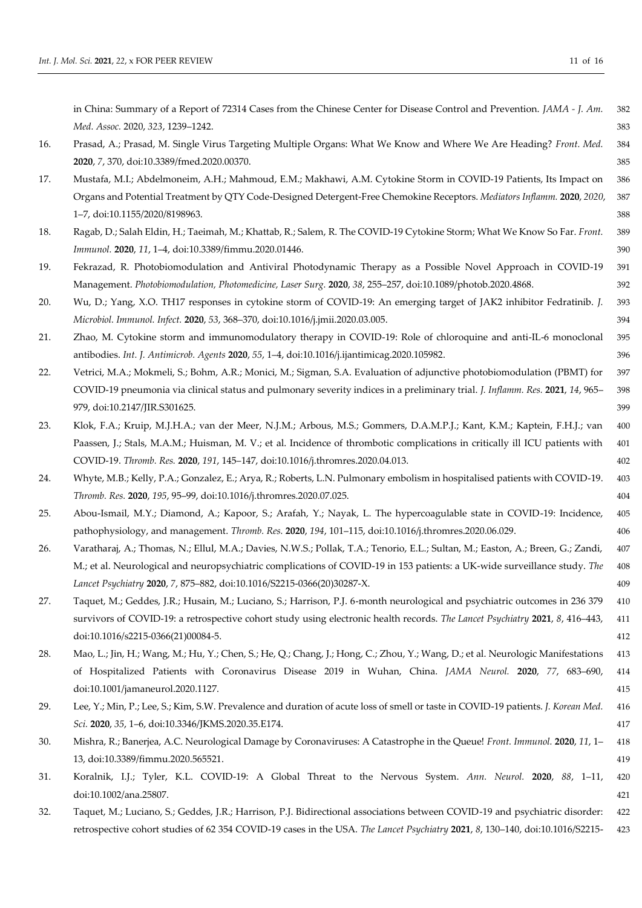|     | in China: Summary of a Report of 72314 Cases from the Chinese Center for Disease Control and Prevention. JAMA - J. Am.            | 382 |
|-----|-----------------------------------------------------------------------------------------------------------------------------------|-----|
|     | Med. Assoc. 2020, 323, 1239-1242.                                                                                                 | 383 |
| 16. | Prasad, A.; Prasad, M. Single Virus Targeting Multiple Organs: What We Know and Where We Are Heading? Front. Med.                 | 384 |
|     | 2020, 7, 370, doi:10.3389/fmed.2020.00370.                                                                                        | 385 |
| 17. | Mustafa, M.I.; Abdelmoneim, A.H.; Mahmoud, E.M.; Makhawi, A.M. Cytokine Storm in COVID-19 Patients, Its Impact on                 | 386 |
|     | Organs and Potential Treatment by QTY Code-Designed Detergent-Free Chemokine Receptors. Mediators Inflamm. 2020, 2020,            | 387 |
|     | 1-7, doi:10.1155/2020/8198963.                                                                                                    | 388 |
| 18. | Ragab, D.; Salah Eldin, H.; Taeimah, M.; Khattab, R.; Salem, R. The COVID-19 Cytokine Storm; What We Know So Far. Front.          | 389 |
|     | Immunol. 2020, 11, 1-4, doi:10.3389/fimmu.2020.01446.                                                                             | 390 |
| 19. | Fekrazad, R. Photobiomodulation and Antiviral Photodynamic Therapy as a Possible Novel Approach in COVID-19                       | 391 |
|     | Management. Photobiomodulation, Photomedicine, Laser Surg. 2020, 38, 255-257, doi:10.1089/photob.2020.4868.                       | 392 |
| 20. | Wu, D.; Yang, X.O. TH17 responses in cytokine storm of COVID-19: An emerging target of JAK2 inhibitor Fedratinib. J.              | 393 |
|     | Microbiol. Immunol. Infect. 2020, 53, 368-370, doi:10.1016/j.jmii.2020.03.005.                                                    | 394 |
| 21. | Zhao, M. Cytokine storm and immunomodulatory therapy in COVID-19: Role of chloroquine and anti-IL-6 monoclonal                    | 395 |
|     | antibodies. Int. J. Antimicrob. Agents 2020, 55, 1-4, doi:10.1016/j.ijantimicag.2020.105982.                                      | 396 |
| 22. | Vetrici, M.A.; Mokmeli, S.; Bohm, A.R.; Monici, M.; Sigman, S.A. Evaluation of adjunctive photobiomodulation (PBMT) for           | 397 |
|     | COVID-19 pneumonia via clinical status and pulmonary severity indices in a preliminary trial. J. Inflamm. Res. 2021, 14, 965-     | 398 |
|     | 979, doi:10.2147/JIR.S301625.                                                                                                     | 399 |
| 23. | Klok, F.A.; Kruip, M.J.H.A.; van der Meer, N.J.M.; Arbous, M.S.; Gommers, D.A.M.P.J.; Kant, K.M.; Kaptein, F.H.J.; van            | 400 |
|     | Paassen, J.; Stals, M.A.M.; Huisman, M. V.; et al. Incidence of thrombotic complications in critically ill ICU patients with      | 401 |
|     | COVID-19. Thromb. Res. 2020, 191, 145-147, doi:10.1016/j.thromres.2020.04.013.                                                    | 402 |
| 24. | Whyte, M.B.; Kelly, P.A.; Gonzalez, E.; Arya, R.; Roberts, L.N. Pulmonary embolism in hospitalised patients with COVID-19.        | 403 |
|     | Thromb. Res. 2020, 195, 95-99, doi:10.1016/j.thromres.2020.07.025.                                                                | 404 |
| 25. | Abou-Ismail, M.Y.; Diamond, A.; Kapoor, S.; Arafah, Y.; Nayak, L. The hypercoagulable state in COVID-19: Incidence,               | 405 |
|     | pathophysiology, and management. Thromb. Res. 2020, 194, 101-115, doi:10.1016/j.thromres.2020.06.029.                             | 406 |
| 26. | Varatharaj, A.; Thomas, N.; Ellul, M.A.; Davies, N.W.S.; Pollak, T.A.; Tenorio, E.L.; Sultan, M.; Easton, A.; Breen, G.; Zandi,   | 407 |
|     | M.; et al. Neurological and neuropsychiatric complications of COVID-19 in 153 patients: a UK-wide surveillance study. The         | 408 |
|     | Lancet Psychiatry 2020, 7, 875-882, doi:10.1016/S2215-0366(20)30287-X.                                                            | 409 |
| 27. | Taquet, M.; Geddes, J.R.; Husain, M.; Luciano, S.; Harrison, P.J. 6-month neurological and psychiatric outcomes in 236 379        | 410 |
|     | survivors of COVID-19: a retrospective cohort study using electronic health records. The Lancet Psychiatry 2021, 8, 416-443,      | 411 |
|     | doi:10.1016/s2215-0366(21)00084-5.                                                                                                | 412 |
| 28. | Mao, L.; Jin, H.; Wang, M.; Hu, Y.; Chen, S.; He, Q.; Chang, J.; Hong, C.; Zhou, Y.; Wang, D.; et al. Neurologic Manifestations   | 413 |
|     | of Hospitalized Patients with Coronavirus Disease 2019 in Wuhan, China. JAMA Neurol. 2020, 77, 683-690,                           | 414 |
|     | doi:10.1001/jamaneurol.2020.1127.                                                                                                 | 415 |
| 29. | Lee, Y.; Min, P.; Lee, S.; Kim, S.W. Prevalence and duration of acute loss of smell or taste in COVID-19 patients. J. Korean Med. | 416 |
|     | Sci. 2020, 35, 1-6, doi:10.3346/JKMS.2020.35.E174.                                                                                | 417 |
| 30. | Mishra, R.; Banerjea, A.C. Neurological Damage by Coronaviruses: A Catastrophe in the Queue! Front. Immunol. 2020, 11, 1-         | 418 |
|     | 13, doi:10.3389/fimmu.2020.565521.                                                                                                | 419 |
| 31. | Koralnik, I.J.; Tyler, K.L. COVID-19: A Global Threat to the Nervous System. Ann. Neurol. 2020, 88, 1-11,                         | 420 |
|     | doi:10.1002/ana.25807.                                                                                                            | 421 |
|     | Taquet, M.; Luciano, S.; Geddes, J.R.; Harrison, P.J. Bidirectional associations between COVID-19 and psychiatric disorder:       | 422 |
| 32. |                                                                                                                                   |     |
|     | retrospective cohort studies of 62 354 COVID-19 cases in the USA. The Lancet Psychiatry 2021, 8, 130-140, doi:10.1016/S2215-      | 423 |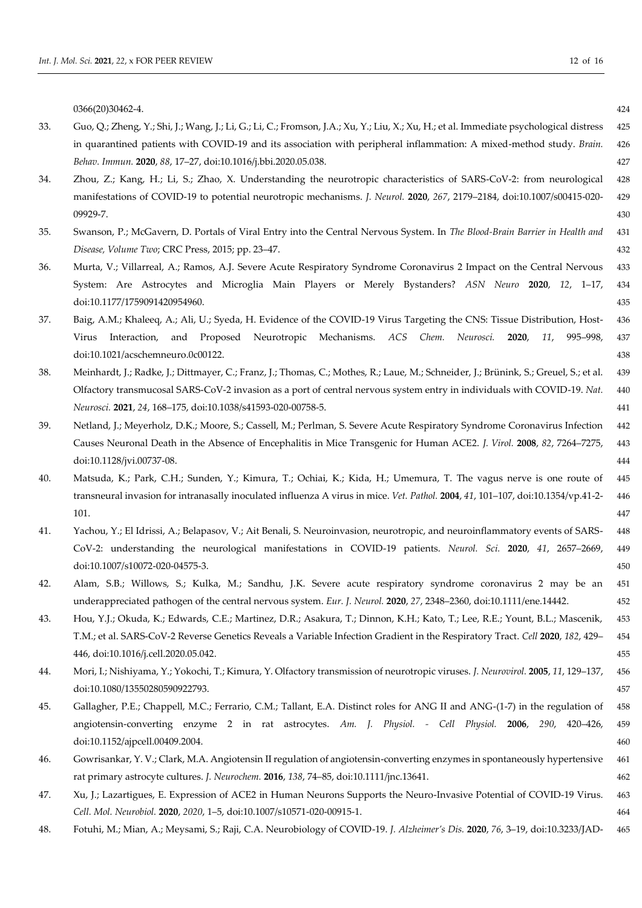|     | 0366(20)30462-4.                                                                                                                       | 424     |
|-----|----------------------------------------------------------------------------------------------------------------------------------------|---------|
| 33. | Guo, Q.; Zheng, Y.; Shi, J.; Wang, J.; Li, G.; Li, C.; Fromson, J.A.; Xu, Y.; Liu, X.; Xu, H.; et al. Immediate psychological distress | 425     |
|     | in quarantined patients with COVID-19 and its association with peripheral inflammation: A mixed-method study. Brain.                   | 426     |
|     | Behav. Immun. 2020, 88, 17-27, doi:10.1016/j.bbi.2020.05.038.                                                                          | 427     |
| 34. | Zhou, Z.; Kang, H.; Li, S.; Zhao, X. Understanding the neurotropic characteristics of SARS-CoV-2: from neurological                    | 428     |
|     | manifestations of COVID-19 to potential neurotropic mechanisms. J. Neurol. 2020, 267, 2179-2184, doi:10.1007/s00415-020-               | 429     |
|     | 09929-7.                                                                                                                               | 430     |
| 35. | Swanson, P.; McGavern, D. Portals of Viral Entry into the Central Nervous System. In The Blood-Brain Barrier in Health and             | 431     |
|     | Disease, Volume Two; CRC Press, 2015; pp. 23-47.                                                                                       | 432     |
| 36. | Murta, V.; Villarreal, A.; Ramos, A.J. Severe Acute Respiratory Syndrome Coronavirus 2 Impact on the Central Nervous                   | 433     |
|     | System: Are Astrocytes and Microglia Main Players or Merely Bystanders? ASN Neuro 2020, 12, 1-17,                                      | 434     |
|     | doi:10.1177/1759091420954960.                                                                                                          | 435     |
| 37. | Baig, A.M.; Khaleeq, A.; Ali, U.; Syeda, H. Evidence of the COVID-19 Virus Targeting the CNS: Tissue Distribution, Host-               | 436     |
|     | and Proposed<br>Neurotropic Mechanisms. ACS Chem.<br>Neurosci.<br>Interaction,<br>2020,<br>11,<br>995-998,<br>Virus                    | 437     |
|     | doi:10.1021/acschemneuro.0c00122.                                                                                                      | 438     |
| 38. | Meinhardt, J.; Radke, J.; Dittmayer, C.; Franz, J.; Thomas, C.; Mothes, R.; Laue, M.; Schneider, J.; Brünink, S.; Greuel, S.; et al.   | 439     |
|     | Olfactory transmucosal SARS-CoV-2 invasion as a port of central nervous system entry in individuals with COVID-19. Nat.                | 440     |
|     | Neurosci. 2021, 24, 168-175, doi:10.1038/s41593-020-00758-5.                                                                           | 441     |
| 39. | Netland, J.; Meyerholz, D.K.; Moore, S.; Cassell, M.; Perlman, S. Severe Acute Respiratory Syndrome Coronavirus Infection              | 442     |
|     | Causes Neuronal Death in the Absence of Encephalitis in Mice Transgenic for Human ACE2. J. Virol. 2008, 82, 7264-7275,                 | 443     |
|     | doi:10.1128/jvi.00737-08.                                                                                                              | 444     |
| 40. | Matsuda, K.; Park, C.H.; Sunden, Y.; Kimura, T.; Ochiai, K.; Kida, H.; Umemura, T. The vagus nerve is one route of                     | 445     |
|     | transneural invasion for intranasally inoculated influenza A virus in mice. Vet. Pathol. 2004, 41, 101-107, doi:10.1354/vp.41-2-       | 446     |
|     | 101.                                                                                                                                   | 447     |
| 41. | Yachou, Y.; El Idrissi, A.; Belapasov, V.; Ait Benali, S. Neuroinvasion, neurotropic, and neuroinflammatory events of SARS-            | 448     |
|     | CoV-2: understanding the neurological manifestations in COVID-19 patients. Neurol. Sci. 2020, 41, 2657-2669,                           | 449     |
|     | doi:10.1007/s10072-020-04575-3.                                                                                                        | 450     |
| 42. | Alam, S.B.; Willows, S.; Kulka, M.; Sandhu, J.K. Severe acute respiratory syndrome coronavirus 2 may be an                             | 451     |
|     | underappreciated pathogen of the central nervous system. Eur. J. Neurol. 2020, 27, 2348-2360, doi:10.1111/ene.14442.                   | 452     |
| 43. | Hou, Y.J.; Okuda, K.; Edwards, C.E.; Martinez, D.R.; Asakura, T.; Dinnon, K.H.; Kato, T.; Lee, R.E.; Yount, B.L.; Mascenik,            | $453\,$ |
|     | T.M.; et al. SARS-CoV-2 Reverse Genetics Reveals a Variable Infection Gradient in the Respiratory Tract. Cell 2020, 182, 429-          | 454     |
|     | 446, doi:10.1016/j.cell.2020.05.042.                                                                                                   | 455     |
| 44. | Mori, I.; Nishiyama, Y.; Yokochi, T.; Kimura, Y. Olfactory transmission of neurotropic viruses. J. Neurovirol. 2005, 11, 129-137,      | 456     |
|     | doi:10.1080/13550280590922793.                                                                                                         | 457     |
| 45. | Gallagher, P.E.; Chappell, M.C.; Ferrario, C.M.; Tallant, E.A. Distinct roles for ANG II and ANG-(1-7) in the regulation of            | 458     |
|     | angiotensin-converting enzyme 2 in rat astrocytes. Am. J. Physiol. - Cell Physiol. 2006, 290, 420-426,                                 | 459     |
|     | doi:10.1152/ajpcell.00409.2004.                                                                                                        | 460     |
| 46. | Gowrisankar, Y. V.; Clark, M.A. Angiotensin II regulation of angiotensin-converting enzymes in spontaneously hypertensive              | 461     |
|     | rat primary astrocyte cultures. J. Neurochem. 2016, 138, 74-85, doi:10.1111/jnc.13641.                                                 | 462     |
| 47. | Xu, J.; Lazartigues, E. Expression of ACE2 in Human Neurons Supports the Neuro-Invasive Potential of COVID-19 Virus.                   | 463     |
|     | Cell. Mol. Neurobiol. 2020, 2020, 1-5, doi:10.1007/s10571-020-00915-1.                                                                 | 464     |

48. Fotuhi, M.; Mian, A.; Meysami, S.; Raji, C.A. Neurobiology of COVID-19. *J. Alzheimer's Dis.* **2020**, *76*, 3–19, doi:10.3233/JAD- 465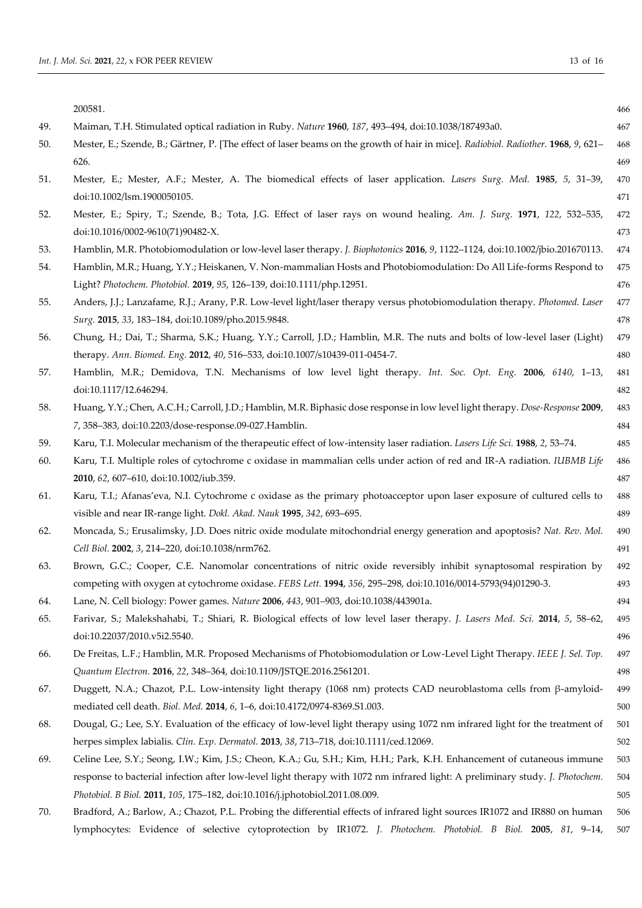|     | 200581.                                                                                                                            | 466 |
|-----|------------------------------------------------------------------------------------------------------------------------------------|-----|
| 49. | Maiman, T.H. Stimulated optical radiation in Ruby. Nature 1960, 187, 493-494, doi:10.1038/187493a0.                                | 467 |
| 50. | Mester, E.; Szende, B.; Gärtner, P. [The effect of laser beams on the growth of hair in mice]. Radiobiol. Radiother. 1968, 9, 621- | 468 |
|     | 626.                                                                                                                               | 469 |
| 51. | Mester, E.; Mester, A.F.; Mester, A. The biomedical effects of laser application. Lasers Surg. Med. 1985, 5, 31-39,                | 470 |
|     | doi:10.1002/lsm.1900050105.                                                                                                        | 471 |
| 52. | Mester, E.; Spiry, T.; Szende, B.; Tota, J.G. Effect of laser rays on wound healing. Am. J. Surg. 1971, 122, 532-535,              | 472 |
|     | doi:10.1016/0002-9610(71)90482-X.                                                                                                  | 473 |
| 53. | Hamblin, M.R. Photobiomodulation or low-level laser therapy. J. Biophotonics 2016, 9, 1122-1124, doi:10.1002/jbio.201670113.       | 474 |
| 54. | Hamblin, M.R.; Huang, Y.Y.; Heiskanen, V. Non-mammalian Hosts and Photobiomodulation: Do All Life-forms Respond to                 | 475 |
|     | Light? Photochem. Photobiol. 2019, 95, 126-139, doi:10.1111/php.12951.                                                             | 476 |
| 55. | Anders, J.J.; Lanzafame, R.J.; Arany, P.R. Low-level light/laser therapy versus photobiomodulation therapy. Photomed. Laser        | 477 |
|     | Surg. 2015, 33, 183-184, doi:10.1089/pho.2015.9848.                                                                                | 478 |
| 56. | Chung, H.; Dai, T.; Sharma, S.K.; Huang, Y.Y.; Carroll, J.D.; Hamblin, M.R. The nuts and bolts of low-level laser (Light)          | 479 |
|     | therapy. Ann. Biomed. Eng. 2012, 40, 516-533, doi:10.1007/s10439-011-0454-7.                                                       | 480 |
| 57. | Hamblin, M.R.; Demidova, T.N. Mechanisms of low level light therapy. Int. Soc. Opt. Eng. 2006, 6140, 1-13,                         | 481 |
|     | doi:10.1117/12.646294.                                                                                                             | 482 |
| 58. | Huang, Y.Y.; Chen, A.C.H.; Carroll, J.D.; Hamblin, M.R. Biphasic dose response in low level light therapy. Dose-Response 2009,     | 483 |
|     | 7, 358-383, doi:10.2203/dose-response.09-027.Hamblin.                                                                              | 484 |
| 59. | Karu, T.I. Molecular mechanism of the therapeutic effect of low-intensity laser radiation. Lasers Life Sci. 1988, 2, 53-74.        | 485 |
| 60. | Karu, T.I. Multiple roles of cytochrome c oxidase in mammalian cells under action of red and IR-A radiation. IUBMB Life            | 486 |
|     | 2010, 62, 607-610, doi:10.1002/iub.359.                                                                                            | 487 |
| 61. | Karu, T.I.; Afanas'eva, N.I. Cytochrome c oxidase as the primary photoacceptor upon laser exposure of cultured cells to            | 488 |
|     | visible and near IR-range light. Dokl. Akad. Nauk 1995, 342, 693-695.                                                              | 489 |
| 62. | Moncada, S.; Erusalimsky, J.D. Does nitric oxide modulate mitochondrial energy generation and apoptosis? Nat. Rev. Mol.            | 490 |
|     | Cell Biol. 2002, 3, 214-220, doi:10.1038/nrm762.                                                                                   | 491 |
| 63. | Brown, G.C.; Cooper, C.E. Nanomolar concentrations of nitric oxide reversibly inhibit synaptosomal respiration by                  | 492 |
|     | competing with oxygen at cytochrome oxidase. FEBS Lett. 1994, 356, 295-298, doi:10.1016/0014-5793(94)01290-3.                      | 493 |
| 64. | Lane, N. Cell biology: Power games. Nature 2006, 443, 901-903, doi:10.1038/443901a.                                                | 494 |
| 65. | Farivar, S.; Malekshahabi, T.; Shiari, R. Biological effects of low level laser therapy. J. Lasers Med. Sci. 2014, 5, 58-62,       | 495 |
|     | doi:10.22037/2010.v5i2.5540.                                                                                                       | 496 |
| 66. | De Freitas, L.F.; Hamblin, M.R. Proposed Mechanisms of Photobiomodulation or Low-Level Light Therapy. IEEE J. Sel. Top.            | 497 |
|     | Quantum Electron. 2016, 22, 348-364, doi:10.1109/JSTQE.2016.2561201.                                                               | 498 |
| 67. | Duggett, N.A.; Chazot, P.L. Low-intensity light therapy (1068 nm) protects CAD neuroblastoma cells from $\beta$ -amyloid-          | 499 |
|     | mediated cell death. Biol. Med. 2014, 6, 1-6, doi:10.4172/0974-8369.S1.003.                                                        | 500 |
| 68. | Dougal, G.; Lee, S.Y. Evaluation of the efficacy of low-level light therapy using 1072 nm infrared light for the treatment of      | 501 |
|     | herpes simplex labialis. Clin. Exp. Dermatol. 2013, 38, 713-718, doi:10.1111/ced.12069.                                            | 502 |
| 69. | Celine Lee, S.Y.; Seong, I.W.; Kim, J.S.; Cheon, K.A.; Gu, S.H.; Kim, H.H.; Park, K.H. Enhancement of cutaneous immune             | 503 |
|     | response to bacterial infection after low-level light therapy with 1072 nm infrared light: A preliminary study. J. Photochem.      | 504 |
|     | Photobiol. B Biol. 2011, 105, 175-182, doi:10.1016/j.jphotobiol.2011.08.009.                                                       | 505 |
| 70. | Bradford, A.; Barlow, A.; Chazot, P.L. Probing the differential effects of infrared light sources IR1072 and IR880 on human        | 506 |
|     | lymphocytes: Evidence of selective cytoprotection by IR1072. J. Photochem. Photobiol. B Biol. 2005, 81, 9-14,                      | 507 |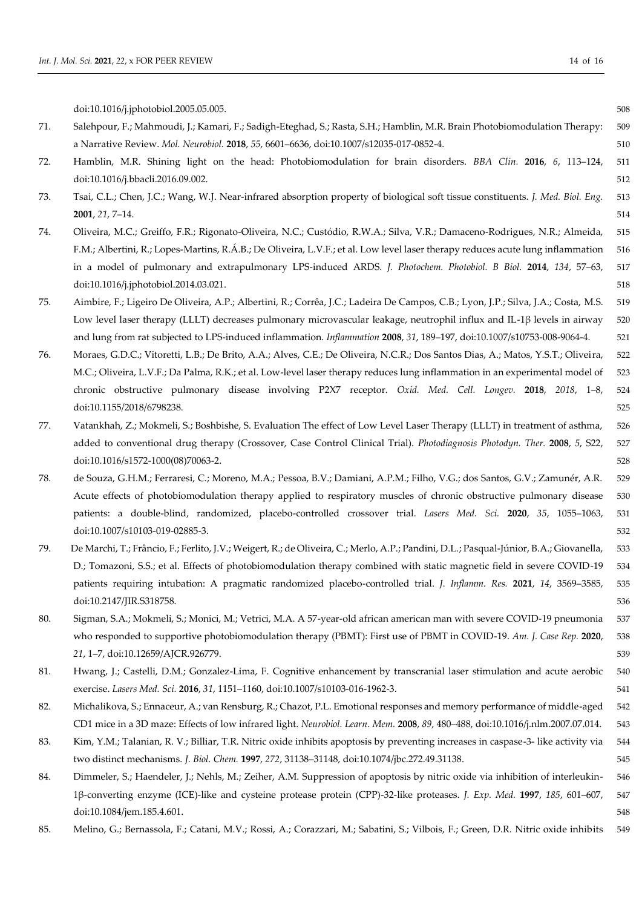|     | doi:10.1016/j.jphotobiol.2005.05.005.                                                                                                  | 508 |
|-----|----------------------------------------------------------------------------------------------------------------------------------------|-----|
| 71. | Salehpour, F.; Mahmoudi, J.; Kamari, F.; Sadigh-Eteghad, S.; Rasta, S.H.; Hamblin, M.R. Brain Photobiomodulation Therapy:              | 509 |
|     | a Narrative Review. Mol. Neurobiol. 2018, 55, 6601-6636, doi:10.1007/s12035-017-0852-4.                                                | 510 |
| 72. | Hamblin, M.R. Shining light on the head: Photobiomodulation for brain disorders. BBA Clin. 2016, 6, 113-124,                           | 511 |
|     | doi:10.1016/j.bbacli.2016.09.002.                                                                                                      | 512 |
| 73. | Tsai, C.L.; Chen, J.C.; Wang, W.J. Near-infrared absorption property of biological soft tissue constituents. J. Med. Biol. Eng.        | 513 |
|     | 2001, 21, 7-14.                                                                                                                        | 514 |
| 74. | Oliveira, M.C.; Greiffo, F.R.; Rigonato-Oliveira, N.C.; Custódio, R.W.A.; Silva, V.R.; Damaceno-Rodrigues, N.R.; Almeida,              | 515 |
|     | F.M.; Albertini, R.; Lopes-Martins, R.Á.B.; De Oliveira, L.V.F.; et al. Low level laser therapy reduces acute lung inflammation        | 516 |
|     | in a model of pulmonary and extrapulmonary LPS-induced ARDS. J. Photochem. Photobiol. B Biol. 2014, 134, 57-63,                        | 517 |
|     | doi:10.1016/j.jphotobiol.2014.03.021.                                                                                                  | 518 |
| 75. | Aimbire, F.; Ligeiro De Oliveira, A.P.; Albertini, R.; Corrêa, J.C.; Ladeira De Campos, C.B.; Lyon, J.P.; Silva, J.A.; Costa, M.S.     | 519 |
|     | Low level laser therapy (LLLT) decreases pulmonary microvascular leakage, neutrophil influx and IL-1β levels in airway                 | 520 |
|     | and lung from rat subjected to LPS-induced inflammation. Inflammation 2008, 31, 189-197, doi:10.1007/s10753-008-9064-4.                | 521 |
| 76. | Moraes, G.D.C.; Vitoretti, L.B.; De Brito, A.A.; Alves, C.E.; De Oliveira, N.C.R.; Dos Santos Dias, A.; Matos, Y.S.T.; Oliveira,       | 522 |
|     | M.C.; Oliveira, L.V.F.; Da Palma, R.K.; et al. Low-level laser therapy reduces lung inflammation in an experimental model of           | 523 |
|     | chronic obstructive pulmonary disease involving P2X7 receptor. Oxid. Med. Cell. Longev. 2018, 2018, 1-8,                               | 524 |
|     | doi:10.1155/2018/6798238.                                                                                                              | 525 |
| 77. | Vatankhah, Z.; Mokmeli, S.; Boshbishe, S. Evaluation The effect of Low Level Laser Therapy (LLLT) in treatment of asthma,              | 526 |
|     | added to conventional drug therapy (Crossover, Case Control Clinical Trial). Photodiagnosis Photodyn. Ther. 2008, 5, S22,              | 527 |
|     | doi:10.1016/s1572-1000(08)70063-2.                                                                                                     | 528 |
| 78. | de Souza, G.H.M.; Ferraresi, C.; Moreno, M.A.; Pessoa, B.V.; Damiani, A.P.M.; Filho, V.G.; dos Santos, G.V.; Zamunér, A.R.             | 529 |
|     | Acute effects of photobiomodulation therapy applied to respiratory muscles of chronic obstructive pulmonary disease                    | 530 |
|     | patients: a double-blind, randomized, placebo-controlled crossover trial. Lasers Med. Sci. 2020, 35, 1055-1063,                        | 531 |
|     | doi:10.1007/s10103-019-02885-3.                                                                                                        | 532 |
| 79. | De Marchi, T.; Frâncio, F.; Ferlito, J.V.; Weigert, R.; de Oliveira, C.; Merlo, A.P.; Pandini, D.L.; Pasqual-Júnior, B.A.; Giovanella, | 533 |
|     | D.; Tomazoni, S.S.; et al. Effects of photobiomodulation therapy combined with static magnetic field in severe COVID-19                | 534 |
|     | patients requiring intubation: A pragmatic randomized placebo-controlled trial. J. Inflamm. Res. 2021, 14, 3569-3585,                  | 535 |
|     | doi:10.2147/JIR.S318758.                                                                                                               | 536 |
| 80. | Sigman, S.A.; Mokmeli, S.; Monici, M.; Vetrici, M.A. A 57-year-old african american man with severe COVID-19 pneumonia                 | 537 |
|     | who responded to supportive photobiomodulation therapy (PBMT): First use of PBMT in COVID-19. Am. J. Case Rep. 2020,                   | 538 |
|     | 21, 1-7, doi:10.12659/AJCR.926779.                                                                                                     | 539 |
| 81. | Hwang, J.; Castelli, D.M.; Gonzalez-Lima, F. Cognitive enhancement by transcranial laser stimulation and acute aerobic                 | 540 |
|     | exercise. Lasers Med. Sci. 2016, 31, 1151-1160, doi:10.1007/s10103-016-1962-3.                                                         | 541 |
| 82. | Michalikova, S.; Ennaceur, A.; van Rensburg, R.; Chazot, P.L. Emotional responses and memory performance of middle-aged                | 542 |
|     | CD1 mice in a 3D maze: Effects of low infrared light. Neurobiol. Learn. Mem. 2008, 89, 480-488, doi:10.1016/j.nlm.2007.07.014.         | 543 |
| 83. | Kim, Y.M.; Talanian, R. V.; Billiar, T.R. Nitric oxide inhibits apoptosis by preventing increases in caspase-3- like activity via      | 544 |
|     | two distinct mechanisms. J. Biol. Chem. 1997, 272, 31138-31148, doi:10.1074/jbc.272.49.31138.                                          | 545 |
| 84. | Dimmeler, S.; Haendeler, J.; Nehls, M.; Zeiher, A.M. Suppression of apoptosis by nitric oxide via inhibition of interleukin-           | 546 |
|     | 1β-converting enzyme (ICE)-like and cysteine protease protein (CPP)-32-like proteases. J. Exp. Med. 1997, 185, 601–607,                | 547 |
|     | doi:10.1084/jem.185.4.601.                                                                                                             | 548 |
| 85. | Melino, G.; Bernassola, F.; Catani, M.V.; Rossi, A.; Corazzari, M.; Sabatini, S.; Vilbois, F.; Green, D.R. Nitric oxide inhibits       | 549 |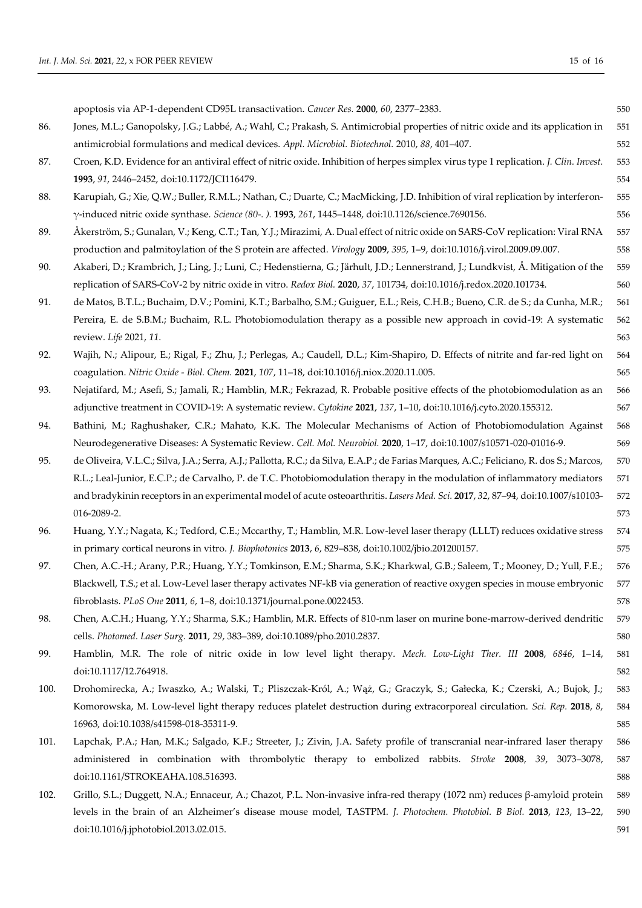|      | apoptosis via AP-1-dependent CD95L transactivation. Cancer Res. 2000, 60, 2377-2383.                                                    | 550 |
|------|-----------------------------------------------------------------------------------------------------------------------------------------|-----|
| 86.  | Jones, M.L.; Ganopolsky, J.G.; Labbé, A.; Wahl, C.; Prakash, S. Antimicrobial properties of nitric oxide and its application in         | 551 |
|      | antimicrobial formulations and medical devices. Appl. Microbiol. Biotechnol. 2010, 88, 401-407.                                         | 552 |
| 87.  | Croen, K.D. Evidence for an antiviral effect of nitric oxide. Inhibition of herpes simplex virus type 1 replication. J. Clin. Invest.   | 553 |
|      | 1993, 91, 2446-2452, doi:10.1172/JCI116479.                                                                                             | 554 |
| 88.  | Karupiah, G.; Xie, Q.W.; Buller, R.M.L.; Nathan, C.; Duarte, C.; MacMicking, J.D. Inhibition of viral replication by interferon-        | 555 |
|      | γ-induced nitric oxide synthase. Science (80-.). 1993, 261, 1445-1448, doi:10.1126/science.7690156.                                     | 556 |
| 89.  | Åkerström, S.; Gunalan, V.; Keng, C.T.; Tan, Y.J.; Mirazimi, A. Dual effect of nitric oxide on SARS-CoV replication: Viral RNA          | 557 |
|      | production and palmitoylation of the S protein are affected. Virology 2009, 395, 1-9, doi:10.1016/j.virol.2009.09.007.                  | 558 |
| 90.  | Akaberi, D.; Krambrich, J.; Ling, J.; Luni, C.; Hedenstierna, G.; Järhult, J.D.; Lennerstrand, J.; Lundkvist, Å. Mitigation of the      | 559 |
|      | replication of SARS-CoV-2 by nitric oxide in vitro. Redox Biol. 2020, 37, 101734, doi:10.1016/j.redox.2020.101734.                      | 560 |
| 91.  | de Matos, B.T.L.; Buchaim, D.V.; Pomini, K.T.; Barbalho, S.M.; Guiguer, E.L.; Reis, C.H.B.; Bueno, C.R. de S.; da Cunha, M.R.;          | 561 |
|      | Pereira, E. de S.B.M.; Buchaim, R.L. Photobiomodulation therapy as a possible new approach in covid-19: A systematic                    | 562 |
|      | review. Life 2021, 11.                                                                                                                  | 563 |
| 92.  | Wajih, N.; Alipour, E.; Rigal, F.; Zhu, J.; Perlegas, A.; Caudell, D.L.; Kim-Shapiro, D. Effects of nitrite and far-red light on        | 564 |
|      | coagulation. Nitric Oxide - Biol. Chem. 2021, 107, 11-18, doi:10.1016/j.niox.2020.11.005.                                               | 565 |
| 93.  | Nejatifard, M.; Asefi, S.; Jamali, R.; Hamblin, M.R.; Fekrazad, R. Probable positive effects of the photobiomodulation as an            | 566 |
|      | adjunctive treatment in COVID-19: A systematic review. Cytokine 2021, 137, 1-10, doi:10.1016/j.cyto.2020.155312.                        | 567 |
| 94.  | Bathini, M.; Raghushaker, C.R.; Mahato, K.K. The Molecular Mechanisms of Action of Photobiomodulation Against                           | 568 |
|      | Neurodegenerative Diseases: A Systematic Review. Cell. Mol. Neurobiol. 2020, 1-17, doi:10.1007/s10571-020-01016-9.                      | 569 |
| 95.  | de Oliveira, V.L.C.; Silva, J.A.; Serra, A.J.; Pallotta, R.C.; da Silva, E.A.P.; de Farias Marques, A.C.; Feliciano, R. dos S.; Marcos, | 570 |
|      | R.L.; Leal-Junior, E.C.P.; de Carvalho, P. de T.C. Photobiomodulation therapy in the modulation of inflammatory mediators               | 571 |
|      | and bradykinin receptors in an experimental model of acute osteoarthritis. Lasers Med. Sci. 2017, 32, 87-94, doi:10.1007/s10103-        | 572 |
|      | 016-2089-2.                                                                                                                             | 573 |
| 96.  | Huang, Y.Y.; Nagata, K.; Tedford, C.E.; Mccarthy, T.; Hamblin, M.R. Low-level laser therapy (LLLT) reduces oxidative stress             | 574 |
|      | in primary cortical neurons in vitro. <i>J. Biophotonics</i> 2013, 6, 829–838, doi:10.1002/jbio.201200157.                              | 575 |
| 97.  | Chen, A.C.-H.; Arany, P.R.; Huang, Y.Y.; Tomkinson, E.M.; Sharma, S.K.; Kharkwal, G.B.; Saleem, T.; Mooney, D.; Yull, F.E.;             | 576 |
|      | Blackwell, T.S.; et al. Low-Level laser therapy activates NF-kB via generation of reactive oxygen species in mouse embryonic            | 577 |
|      | fibroblasts. PLoS One 2011, 6, 1-8, doi:10.1371/journal.pone.0022453.                                                                   | 578 |
| 98.  | Chen, A.C.H.; Huang, Y.Y.; Sharma, S.K.; Hamblin, M.R. Effects of 810-nm laser on murine bone-marrow-derived dendritic                  | 579 |
|      | cells. Photomed. Laser Surg. 2011, 29, 383-389, doi:10.1089/pho.2010.2837.                                                              | 580 |
| 99.  | Hamblin, M.R. The role of nitric oxide in low level light therapy. Mech. Low-Light Ther. III 2008, 6846, 1-14,                          | 581 |
|      | doi:10.1117/12.764918.                                                                                                                  | 582 |
| 100. | Drohomirecka, A.; Iwaszko, A.; Walski, T.; Pliszczak-Król, A.; Wąż, G.; Graczyk, S.; Gałecka, K.; Czerski, A.; Bujok, J.;               | 583 |
|      | Komorowska, M. Low-level light therapy reduces platelet destruction during extracorporeal circulation. Sci. Rep. 2018, 8,               | 584 |
|      | 16963, doi:10.1038/s41598-018-35311-9.                                                                                                  | 585 |
| 101. | Lapchak, P.A.; Han, M.K.; Salgado, K.F.; Streeter, J.; Zivin, J.A. Safety profile of transcranial near-infrared laser therapy           | 586 |
|      | administered in combination with thrombolytic therapy to embolized rabbits. Stroke 2008, 39, 3073-3078,                                 | 587 |
|      | doi:10.1161/STROKEAHA.108.516393.                                                                                                       | 588 |
| 102. | Grillo, S.L.; Duggett, N.A.; Ennaceur, A.; Chazot, P.L. Non-invasive infra-red therapy (1072 nm) reduces β-amyloid protein              | 589 |
|      | levels in the brain of an Alzheimer's disease mouse model, TASTPM. J. Photochem. Photobiol. B Biol. 2013, 123, 13-22,                   | 590 |
|      | doi:10.1016/j.jphotobiol.2013.02.015.                                                                                                   | 591 |